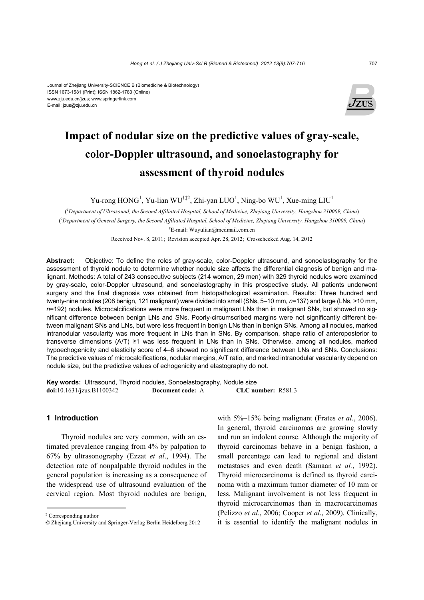#### Journal of Zhejiang University-SCIENCE B (Biomedicine & Biotechnology) ISSN 1673-1581 (Print); ISSN 1862-1783 (Online) www.zju.edu.cn/jzus; www.springerlink.com E-mail: jzus@zju.edu.cn



# **Impact of nodular size on the predictive values of gray-scale, color-Doppler ultrasound, and sonoelastography for assessment of thyroid nodules**

Yu-rong  $HONG<sup>1</sup>$ , Yu-lian WU<sup>†‡2</sup>, Zhi-yan LUO<sup>1</sup>, Ning-bo WU<sup>1</sup>, Xue-ming LIU<sup>1</sup>

( *1 Department of Ultrasound, the Second Affiliated Hospital, School of Medicine, Zhejiang University, Hangzhou 310009, China*) ( *2 Department of General Surgery, the Second Affiliated Hospital, School of Medicine, Zhejiang University, Hangzhou 310009, China*) † E-mail: Wuyulian@medmail.com.cn

Received Nov. 8, 2011; Revision accepted Apr. 28, 2012; Crosschecked Aug. 14, 2012

**Abstract:** Objective: To define the roles of gray-scale, color-Doppler ultrasound, and sonoelastography for the assessment of thyroid nodule to determine whether nodule size affects the differential diagnosis of benign and malignant. Methods: A total of 243 consecutive subjects (214 women, 29 men) with 329 thyroid nodules were examined by gray-scale, color-Doppler ultrasound, and sonoelastography in this prospective study. All patients underwent surgery and the final diagnosis was obtained from histopathological examination. Results: Three hundred and twenty-nine nodules (208 benign, 121 malignant) were divided into small (SNs, 5–10 mm, *n*=137) and large (LNs, >10 mm, *n*=192) nodules. Microcalcifications were more frequent in malignant LNs than in malignant SNs, but showed no significant difference between benign LNs and SNs. Poorly-circumscribed margins were not significantly different between malignant SNs and LNs, but were less frequent in benign LNs than in benign SNs. Among all nodules, marked intranodular vascularity was more frequent in LNs than in SNs. By comparison, shape ratio of anteroposterior to transverse dimensions (A/T) ≥1 was less frequent in LNs than in SNs. Otherwise, among all nodules, marked hypoechogenicity and elasticity score of 4–6 showed no significant difference between LNs and SNs. Conclusions: The predictive values of microcalcifications, nodular margins, A/T ratio, and marked intranodular vascularity depend on nodule size, but the predictive values of echogenicity and elastography do not.

**Key words:** Ultrasound, Thyroid nodules, Sonoelastography, Nodule size **doi:**10.1631/jzus.B1100342 **Document code:** A **CLC number:** R581.3

# **1 Introduction**

Thyroid nodules are very common, with an estimated prevalence ranging from 4% by palpation to 67% by ultrasonography (Ezzat *et al*., 1994). The detection rate of nonpalpable thyroid nodules in the general population is increasing as a consequence of the widespread use of ultrasound evaluation of the cervical region. Most thyroid nodules are benign,

with 5%–15% being malignant (Frates *et al.*, 2006). In general, thyroid carcinomas are growing slowly and run an indolent course. Although the majority of thyroid carcinomas behave in a benign fashion, a small percentage can lead to regional and distant metastases and even death (Samaan *et al.*, 1992). Thyroid microcarcinoma is defined as thyroid carcinoma with a maximum tumor diameter of 10 mm or less. Malignant involvement is not less frequent in thyroid microcarcinomas than in macrocarcinomas (Pelizzo *et al*., 2006; Cooper *et al*., 2009). Clinically, it is essential to identify the malignant nodules in

<sup>‡</sup> Corresponding author

<sup>©</sup> Zhejiang University and Springer-Verlag Berlin Heidelberg 2012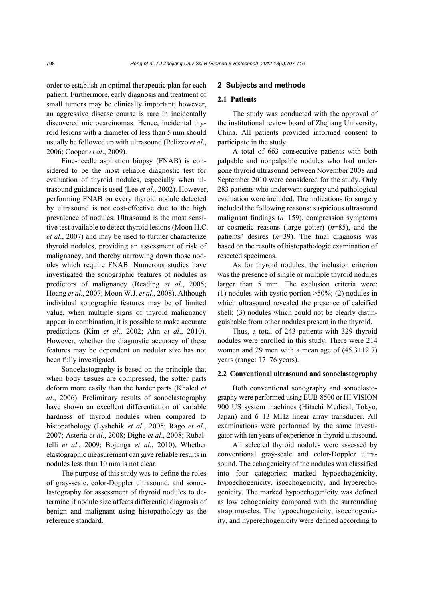order to establish an optimal therapeutic plan for each patient. Furthermore, early diagnosis and treatment of small tumors may be clinically important; however, an aggressive disease course is rare in incidentally discovered microcarcinomas. Hence, incidental thyroid lesions with a diameter of less than 5 mm should usually be followed up with ultrasound (Pelizzo *et al*., 2006; Cooper *et al*., 2009).

Fine-needle aspiration biopsy (FNAB) is considered to be the most reliable diagnostic test for evaluation of thyroid nodules, especially when ultrasound guidance is used (Lee *et al*., 2002). However, performing FNAB on every thyroid nodule detected by ultrasound is not cost-effective due to the high prevalence of nodules. Ultrasound is the most sensitive test available to detect thyroid lesions (Moon H.C. *et al*., 2007) and may be used to further characterize thyroid nodules, providing an assessment of risk of malignancy, and thereby narrowing down those nodules which require FNAB. Numerous studies have investigated the sonographic features of nodules as predictors of malignancy (Reading *et al*., 2005; Hoang *et al*., 2007; Moon W.J. *et al*., 2008). Although individual sonographic features may be of limited value, when multiple signs of thyroid malignancy appear in combination, it is possible to make accurate predictions (Kim *et al*., 2002; Ahn *et al*., 2010). However, whether the diagnostic accuracy of these features may be dependent on nodular size has not been fully investigated.

Sonoelastography is based on the principle that when body tissues are compressed, the softer parts deform more easily than the harder parts (Khaled *et al*., 2006). Preliminary results of sonoelastography have shown an excellent differentiation of variable hardness of thyroid nodules when compared to histopathology (Lyshchik *et al*., 2005; Rago *et al*., 2007; Asteria *et al*., 2008; Dighe *et al*., 2008; Rubaltelli *et al*., 2009; Bojunga *et al*., 2010). Whether elastographic measurement can give reliable results in nodules less than 10 mm is not clear.

The purpose of this study was to define the roles of gray-scale, color-Doppler ultrasound, and sonoelastography for assessment of thyroid nodules to determine if nodule size affects differential diagnosis of benign and malignant using histopathology as the reference standard.

#### **2 Subjects and methods**

#### **2.1 Patients**

The study was conducted with the approval of the institutional review board of Zhejiang University, China. All patients provided informed consent to participate in the study.

A total of 663 consecutive patients with both palpable and nonpalpable nodules who had undergone thyroid ultrasound between November 2008 and September 2010 were considered for the study. Only 283 patients who underwent surgery and pathological evaluation were included. The indications for surgery included the following reasons: suspicious ultrasound malignant findings (*n*=159), compression symptoms or cosmetic reasons (large goiter) (*n*=85), and the patients' desires (*n*=39). The final diagnosis was based on the results of histopathologic examination of resected specimens.

As for thyroid nodules, the inclusion criterion was the presence of single or multiple thyroid nodules larger than 5 mm. The exclusion criteria were: (1) nodules with cystic portion >50%; (2) nodules in which ultrasound revealed the presence of calcified shell; (3) nodules which could not be clearly distinguishable from other nodules present in the thyroid.

Thus, a total of 243 patients with 329 thyroid nodules were enrolled in this study. There were 214 women and 29 men with a mean age of  $(45.3 \pm 12.7)$ years (range: 17–76 years).

#### **2.2 Conventional ultrasound and sonoelastography**

Both conventional sonography and sonoelastography were performed using EUB-8500 or HI VISION 900 US system machines (Hitachi Medical, Tokyo, Japan) and 6–13 MHz linear array transducer. All examinations were performed by the same investigator with ten years of experience in thyroid ultrasound.

All selected thyroid nodules were assessed by conventional gray-scale and color-Doppler ultrasound. The echogenicity of the nodules was classified into four categories: marked hypoechogenicity, hypoechogenicity, isoechogenicity, and hyperechogenicity. The marked hypoechogenicity was defined as low echogenicity compared with the surrounding strap muscles. The hypoechogenicity, isoechogenicity, and hyperechogenicity were defined according to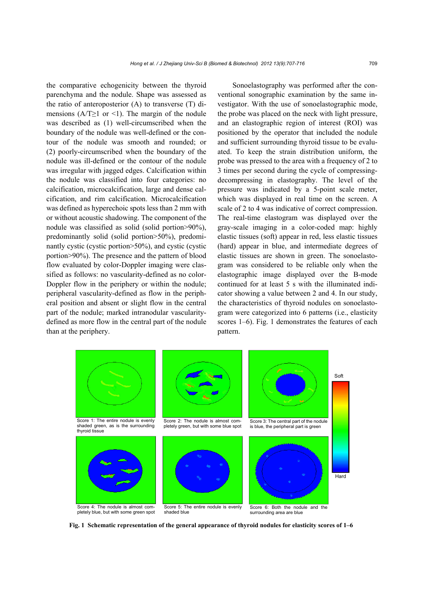the comparative echogenicity between the thyroid parenchyma and the nodule. Shape was assessed as the ratio of anteroposterior (A) to transverse (T) dimensions (A/T≥1 or <1). The margin of the nodule was described as (1) well-circumscribed when the boundary of the nodule was well-defined or the contour of the nodule was smooth and rounded; or (2) poorly-circumscribed when the boundary of the nodule was ill-defined or the contour of the nodule was irregular with jagged edges. Calcification within the nodule was classified into four categories: no calcification, microcalcification, large and dense calcification, and rim calcification. Microcalcification was defined as hyperechoic spots less than 2 mm with or without acoustic shadowing. The component of the nodule was classified as solid (solid portion>90%), predominantly solid (solid portion>50%), predominantly cystic (cystic portion>50%), and cystic (cystic portion>90%). The presence and the pattern of blood flow evaluated by color-Doppler imaging were classified as follows: no vascularity-defined as no color-Doppler flow in the periphery or within the nodule; peripheral vascularity-defined as flow in the peripheral position and absent or slight flow in the central part of the nodule; marked intranodular vascularitydefined as more flow in the central part of the nodule than at the periphery.

Sonoelastography was performed after the conventional sonographic examination by the same investigator. With the use of sonoelastographic mode, the probe was placed on the neck with light pressure, and an elastographic region of interest (ROI) was positioned by the operator that included the nodule and sufficient surrounding thyroid tissue to be evaluated. To keep the strain distribution uniform, the probe was pressed to the area with a frequency of 2 to 3 times per second during the cycle of compressingdecompressing in elastography. The level of the pressure was indicated by a 5-point scale meter, which was displayed in real time on the screen. A scale of 2 to 4 was indicative of correct compression. The real-time elastogram was displayed over the gray-scale imaging in a color-coded map: highly elastic tissues (soft) appear in red, less elastic tissues (hard) appear in blue, and intermediate degrees of elastic tissues are shown in green. The sonoelastogram was considered to be reliable only when the elastographic image displayed over the B-mode continued for at least 5 s with the illuminated indicator showing a value between 2 and 4. In our study, the characteristics of thyroid nodules on sonoelastogram were categorized into 6 patterns (i.e., elasticity scores 1–6). Fig. 1 demonstrates the features of each pattern.



**Fig. 1 Schematic representation of the general appearance of thyroid nodules for elasticity scores of 1–6**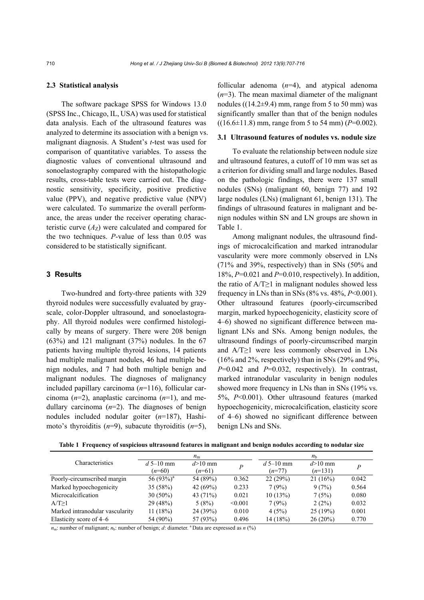#### **2.3 Statistical analysis**

The software package SPSS for Windows 13.0 (SPSS Inc., Chicago, IL, USA) was used for statistical data analysis. Each of the ultrasound features was analyzed to determine its association with a benign vs. malignant diagnosis. A Student's *t*-test was used for comparison of quantitative variables. To assess the diagnostic values of conventional ultrasound and sonoelastography compared with the histopathologic results, cross-table tests were carried out. The diagnostic sensitivity, specificity, positive predictive value (PPV), and negative predictive value (NPV) were calculated. To summarize the overall performance, the areas under the receiver operating characteristic curve  $(A<sub>Z</sub>)$  were calculated and compared for the two techniques. *P*-value of less than 0.05 was considered to be statistically significant.

### **3 Results**

Two-hundred and forty-three patients with 329 thyroid nodules were successfully evaluated by grayscale, color-Doppler ultrasound, and sonoelastography. All thyroid nodules were confirmed histologically by means of surgery. There were 208 benign  $(63\%)$  and 121 malignant  $(37\%)$  nodules. In the 67 patients having multiple thyroid lesions, 14 patients had multiple malignant nodules, 46 had multiple benign nodules, and 7 had both multiple benign and malignant nodules. The diagnoses of malignancy included papillary carcinoma (*n*=116), follicular carcinoma (*n*=2), anaplastic carcinoma (*n*=1), and medullary carcinoma (*n*=2). The diagnoses of benign nodules included nodular goiter (*n*=187), Hashimoto's thyroiditis (*n*=9), subacute thyroiditis (*n*=5), follicular adenoma (*n*=4), and atypical adenoma (*n*=3). The mean maximal diameter of the malignant nodules ( $(14.2\pm9.4)$  mm, range from 5 to 50 mm) was significantly smaller than that of the benign nodules  $((16.6\pm11.8)$  mm, range from 5 to 54 mm) ( $P=0.002$ ).

#### **3.1 Ultrasound features of nodules vs. nodule size**

To evaluate the relationship between nodule size and ultrasound features, a cutoff of 10 mm was set as a criterion for dividing small and large nodules. Based on the pathologic findings, there were 137 small nodules (SNs) (malignant 60, benign 77) and 192 large nodules (LNs) (malignant 61, benign 131). The findings of ultrasound features in malignant and benign nodules within SN and LN groups are shown in Table 1.

Among malignant nodules, the ultrasound findings of microcalcification and marked intranodular vascularity were more commonly observed in LNs (71% and 39%, respectively) than in SNs (50% and 18%, *P*=0.021 and *P*=0.010, respectively). In addition, the ratio of  $A/T \ge 1$  in malignant nodules showed less frequency in LNs than in SNs (8% vs. 48%, *P*<0.001). Other ultrasound features (poorly-circumscribed margin, marked hypoechogenicity, elasticity score of 4–6) showed no significant difference between malignant LNs and SNs. Among benign nodules, the ultrasound findings of poorly-circumscribed margin and A/T≥1 were less commonly observed in LNs (16% and 2%, respectively) than in SNs (29% and 9%, *P*=0.042 and *P*=0.032, respectively). In contrast, marked intranodular vascularity in benign nodules showed more frequency in LNs than in SNs (19% vs. 5%, *P*<0.001). Other ultrasound features (marked hypoechogenicity, microcalcification, elasticity score of 4–6) showed no significant difference between benign LNs and SNs.

| Table 1 Frequency of suspicious ultrasound features in malignant and benign nodules according to nodular size |  |  |  |  |  |  |  |
|---------------------------------------------------------------------------------------------------------------|--|--|--|--|--|--|--|
|---------------------------------------------------------------------------------------------------------------|--|--|--|--|--|--|--|

|                                 |               | $n_{\rm m}$ |         |             | $n_{\rm h}$ |       |
|---------------------------------|---------------|-------------|---------|-------------|-------------|-------|
| <b>Characteristics</b>          | $d$ 5–10 mm   | $d > 10$ mm | P       | $d$ 5–10 mm | $d > 10$ mm | Р     |
|                                 | $(n=60)$      | $(n=61)$    |         | $(n=77)$    | $(n=131)$   |       |
| Poorly-circumscribed margin     | 56 $(93\%)^a$ | 54 (89%)    | 0.362   | 22(29%)     | 21(16%)     | 0.042 |
| Marked hypoechogenicity         | 35(58%)       | 42 $(69%)$  | 0.233   | 7(9%)       | 9(7%)       | 0.564 |
| Microcalcification              | $30(50\%)$    | 43 (71%)    | 0.021   | 10(13%)     | 7(5%)       | 0.080 |
| $A/T \ge 1$                     | 29(48%)       | 5(8%)       | < 0.001 | 7(9%)       | 2(2%)       | 0.032 |
| Marked intranodular vascularity | 11(18%)       | 24 (39%)    | 0.010   | 4(5%)       | 25(19%)     | 0.001 |
| Elasticity score of 4–6         | 54 (90%)      | 57 (93%)    | 0.496   | 14(18%)     | $26(20\%)$  | 0.770 |

 $n_m$ : number of malignant;  $n_b$ : number of benign; *d*: diameter. <sup>a</sup> Data are expressed as *n*  $(\%)$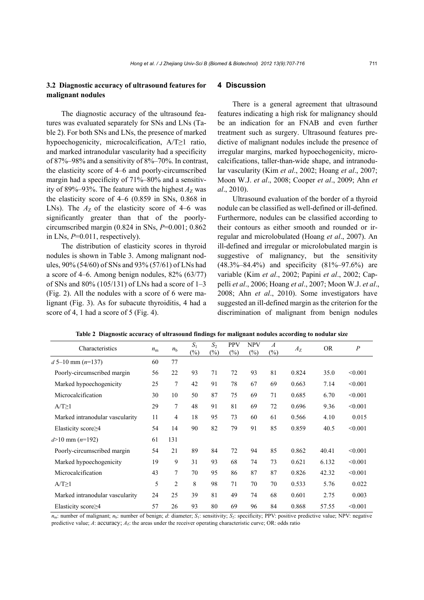# **3.2 Diagnostic accuracy of ultrasound features for malignant nodules**

The diagnostic accuracy of the ultrasound features was evaluated separately for SNs and LNs (Table 2). For both SNs and LNs, the presence of marked hypoechogenicity, microcalcification, A/T≥1 ratio, and marked intranodular vascularity had a specificity of 87%–98% and a sensitivity of 8%–70%. In contrast, the elasticity score of 4–6 and poorly-circumscribed margin had a specificity of 71%–80% and a sensitivity of 89%–93%. The feature with the highest  $A_Z$  was the elasticity score of 4–6 (0.859 in SNs, 0.868 in LNs). The  $A_Z$  of the elasticity score of 4–6 was significantly greater than that of the poorlycircumscribed margin (0.824 in SNs, *P*=0.001; 0.862 in LNs, *P*=0.011, respectively).

The distribution of elasticity scores in thyroid nodules is shown in Table 3. Among malignant nodules, 90% (54/60) of SNs and 93% (57/61) of LNs had a score of 4–6. Among benign nodules, 82% (63/77) of SNs and 80% (105/131) of LNs had a score of 1–3 (Fig. 2). All the nodules with a score of 6 were malignant (Fig. 3). As for subacute thyroiditis, 4 had a score of 4, 1 had a score of 5 (Fig. 4).

# **4 Discussion**

There is a general agreement that ultrasound features indicating a high risk for malignancy should be an indication for an FNAB and even further treatment such as surgery. Ultrasound features predictive of malignant nodules include the presence of irregular margins, marked hypoechogenicity, microcalcifications, taller-than-wide shape, and intranodular vascularity (Kim *et al*., 2002; Hoang *et al*., 2007; Moon W.J. *et al*., 2008; Cooper *et al*., 2009; Ahn *et al*., 2010).

Ultrasound evaluation of the border of a thyroid nodule can be classified as well-defined or ill-defined. Furthermore, nodules can be classified according to their contours as either smooth and rounded or irregular and microlobulated (Hoang *et al*., 2007). An ill-defined and irregular or microlobulated margin is suggestive of malignancy, but the sensitivity (48.3%–84.4%) and specificity (81%–97.6%) are variable (Kim *et al*., 2002; Papini *et al*., 2002; Cappelli *et al*., 2006; Hoang *et al*., 2007; Moon W.J. *et al*., 2008; Ahn *et al*., 2010). Some investigators have suggested an ill-defined margin as the criterion for the discrimination of malignant from benign nodules

| Characteristics                 | $n_{\rm m}$ | $n_{\rm h}$    | $S_1$<br>$\frac{6}{2}$ | $S_2$<br>$(\%)$ | <b>PPV</b><br>$(\%)$ | NPV<br>$(\%)$ | $\boldsymbol{A}$<br>$(\%)$ | $A_{\rm Z}$ | <b>OR</b> | $\boldsymbol{P}$ |
|---------------------------------|-------------|----------------|------------------------|-----------------|----------------------|---------------|----------------------------|-------------|-----------|------------------|
| $d$ 5–10 mm ( $n=137$ )         | 60          | 77             |                        |                 |                      |               |                            |             |           |                  |
| Poorly-circumscribed margin     | 56          | 22             | 93                     | 71              | 72                   | 93            | 81                         | 0.824       | 35.0      | < 0.001          |
| Marked hypoechogenicity         | 25          | 7              | 42                     | 91              | 78                   | 67            | 69                         | 0.663       | 7.14      | < 0.001          |
| Microcalcification              | 30          | 10             | 50                     | 87              | 75                   | 69            | 71                         | 0.685       | 6.70      | < 0.001          |
| $A/T \ge 1$                     | 29          | 7              | 48                     | 91              | 81                   | 69            | 72                         | 0.696       | 9.36      | < 0.001          |
| Marked intranodular vascularity | 11          | 4              | 18                     | 95              | 73                   | 60            | 61                         | 0.566       | 4.10      | 0.015            |
| Elasticity score≥4              | 54          | 14             | 90                     | 82              | 79                   | 91            | 85                         | 0.859       | 40.5      | < 0.001          |
| $d > 10$ mm $(n=192)$           | 61          | 131            |                        |                 |                      |               |                            |             |           |                  |
| Poorly-circumscribed margin     | 54          | 21             | 89                     | 84              | 72                   | 94            | 85                         | 0.862       | 40.41     | < 0.001          |
| Marked hypoechogenicity         | 19          | 9              | 31                     | 93              | 68                   | 74            | 73                         | 0.621       | 6.132     | < 0.001          |
| Microcalcification              | 43          | 7              | 70                     | 95              | 86                   | 87            | 87                         | 0.826       | 42.32     | < 0.001          |
| $A/T \ge 1$                     | 5           | $\overline{c}$ | 8                      | 98              | 71                   | 70            | 70                         | 0.533       | 5.76      | 0.022            |
| Marked intranodular vascularity | 24          | 25             | 39                     | 81              | 49                   | 74            | 68                         | 0.601       | 2.75      | 0.003            |
| Elasticity score $\geq$ 4       | 57          | 26             | 93                     | 80              | 69                   | 96            | 84                         | 0.868       | 57.55     | < 0.001          |

**Table 2 Diagnostic accuracy of ultrasound findings for malignant nodules according to nodular size**

*n*<sub>m</sub>: number of malignant; *n*<sub>b</sub>: number of benign; *d*: diameter; *S*<sub>1</sub>: sensitivity; *S*<sub>2</sub>: specificity; PPV: positive predictive value; NPV: negative predictive value; *A*: accuracy;  $A_z$ : the areas under the receiver operating characteristic curve; OR; odds ratio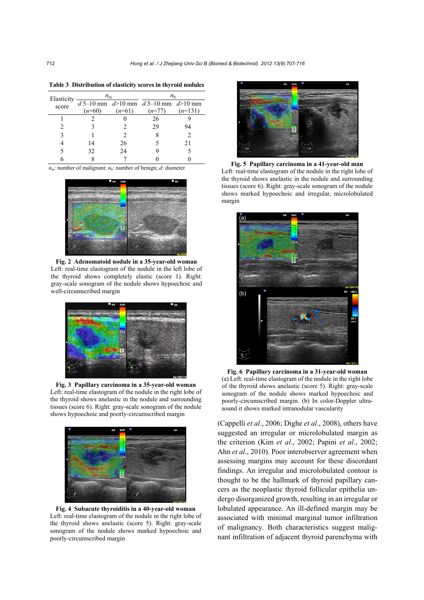| Elasticity | $n_{\rm m}$ |          | $n_{\rm b}$                                     |           |  |  |
|------------|-------------|----------|-------------------------------------------------|-----------|--|--|
| score      |             |          | $d$ 5-10 mm $d > 10$ mm $d > 10$ mm $d > 10$ mm |           |  |  |
|            | $(n=60)$    | $(n=61)$ | $(n=77)$                                        | $(n=131)$ |  |  |
|            |             |          | 26                                              |           |  |  |
|            |             |          | 29                                              | 94        |  |  |
|            |             |          |                                                 |           |  |  |
|            | 14          | 26       |                                                 | 21        |  |  |
|            | 32          | 24       |                                                 |           |  |  |
|            |             |          |                                                 |           |  |  |

**Table 3 Distribution of elasticity scores in thyroid nodules**

 $n_m$ : number of malignant;  $n_b$ : number of benign; *d*: diameter



**Fig. 2 Adenomatoid nodule in a 35-year-old woman**  Left: real-time elastogram of the nodule in the left lobe of the thyroid shows completely elastic (score 1). Right: gray-scale sonogram of the nodule shows hypoechoic and well-circumscribed margin



**Fig. 3 Papillary carcinoma in a 35-year-old woman**  Left: real-time elastogram of the nodule in the right lobe of the thyroid shows anelastic in the nodule and surrounding tissues (score 6). Right: gray-scale sonogram of the nodule shows hypoechoic and poorly-circumscribed margin



**Fig. 4 Subacute thyroiditis in a 40-year-old woman**  Left: real-time elastogram of the nodule in the right lobe of the thyroid shows anelastic (score 5). Right: gray-scale sonogram of the nodule shows marked hypoechoic and poorly-circumscribed margin



**Fig. 5 Papillary carcinoma in a 41-year-old man**  Left: real-time elastogram of the nodule in the right lobe of the thyroid shows anelastic in the nodule and surrounding tissues (score 6). Right: gray-scale sonogram of the nodule shows marked hypoechoic and irregular, microlobulated margin



**Fig. 6 Papillary carcinoma in a 31-year-old woman**  (a) Left: real-time elastogram of the nodule in the right lobe of the thyroid shows anelastic (score 5). Right: gray-scale sonogram of the nodule shows marked hypoechoic and poorly-circumscribed margin. (b) In color-Doppler ultrasound it shows marked intranodular vascularity

(Cappelli *et al*., 2006; Dighe *et al*., 2008), others have suggested an irregular or microlobulated margin as the criterion (Kim *et al*., 2002; Papini *et al*., 2002; Ahn *et al*., 2010). Poor interobserver agreement when assessing margins may account for these discordant findings. An irregular and microlobulated contour is thought to be the hallmark of thyroid papillary cancers as the neoplastic thyroid follicular epithelia undergo disorganized growth, resulting in an irregular or lobulated appearance. An ill-defined margin may be associated with minimal marginal tumor infiltration of malignancy. Both characteristics suggest malignant infiltration of adjacent thyroid parenchyma with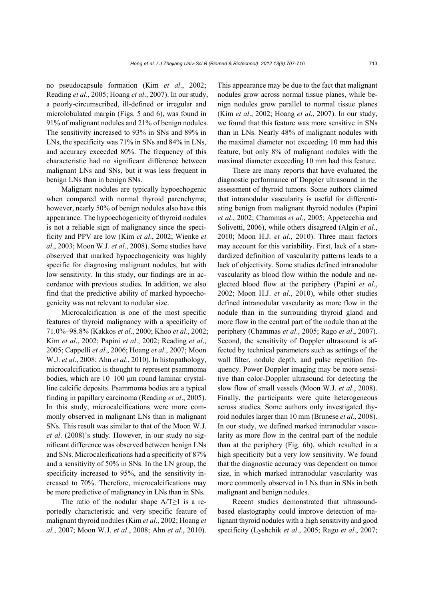*Hong et al. / J Zhejiang Univ-Sci B (Biomed & Biotechnol) 2012 13(9):707-716* 713

no pseudocapsule formation (Kim *et al*., 2002; Reading *et al*., 2005; Hoang *et al*., 2007). In our study, a poorly-circumscribed, ill-defined or irregular and microlobulated margin (Figs. 5 and 6), was found in 91% of malignant nodules and 21% of benign nodules. The sensitivity increased to 93% in SNs and 89% in LNs, the specificity was 71% in SNs and 84% in LNs, and accuracy exceeded 80%. The frequency of this characteristic had no significant difference between malignant LNs and SNs, but it was less frequent in benign LNs than in benign SNs.

Malignant nodules are typically hypoechogenic when compared with normal thyroid parenchyma; however, nearly 50% of benign nodules also have this appearance. The hypoechogenicity of thyroid nodules is not a reliable sign of malignancy since the specificity and PPV are low (Kim *et al*., 2002; Wienke *et al*., 2003; Moon W.J. *et al*., 2008). Some studies have observed that marked hypoechogenicity was highly specific for diagnosing malignant nodules, but with low sensitivity. In this study, our findings are in accordance with previous studies. In addition, we also find that the predictive ability of marked hypoechogenicity was not relevant to nodular size.

Microcalcification is one of the most specific features of thyroid malignancy with a specificity of 71.0%–98.8% (Kakkos *et al*., 2000; Khoo *et al*., 2002; Kim *et al*., 2002; Papini *et al*., 2002; Reading *et al*., 2005; Cappelli *et al*., 2006; Hoang *et al*., 2007; Moon W.J. *et al*., 2008; Ahn *et al*., 2010). In histopathology, microcalcification is thought to represent psammoma bodies, which are 10–100 μm round laminar crystalline calcific deposits. Psammoma bodies are a typical finding in papillary carcinoma (Reading *et al*., 2005). In this study, microcalcifications were more commonly observed in malignant LNs than in malignant SNs. This result was similar to that of the Moon W.J. *et al*. (2008)'s study. However, in our study no significant difference was observed between benign LNs and SNs. Microcalcifications had a specificity of 87% and a sensitivity of 50% in SNs. In the LN group, the specificity increased to 95%, and the sensitivity increased to 70%. Therefore, microcalcifications may be more predictive of malignancy in LNs than in SNs.

The ratio of the nodular shape  $A/T \ge 1$  is a reportedly characteristic and very specific feature of malignant thyroid nodules (Kim *et al*., 2002; Hoang *et al.*, 2007; Moon W.J. *et al*., 2008; Ahn *et al*., 2010).

This appearance may be due to the fact that malignant nodules grow across normal tissue planes, while benign nodules grow parallel to normal tissue planes (Kim *et al*., 2002; Hoang *et al*., 2007). In our study, we found that this feature was more sensitive in SNs than in LNs. Nearly 48% of malignant nodules with the maximal diameter not exceeding 10 mm had this feature, but only 8% of malignant nodules with the maximal diameter exceeding 10 mm had this feature.

There are many reports that have evaluated the diagnostic performance of Doppler ultrasound in the assessment of thyroid tumors. Some authors claimed that intranodular vascularity is useful for differentiating benign from malignant thyroid nodules (Papini *et al*., 2002; Chammas *et al*., 2005; Appetecchia and Solivetti, 2006), while others disagreed (Algin *et al*., 2010; Moon H.J. *et al*., 2010). Three main factors may account for this variability. First, lack of a standardized definition of vascularity patterns leads to a lack of objectivity. Some studies defined intranodular vascularity as blood flow within the nodule and neglected blood flow at the periphery (Papini *et al*., 2002; Moon H.J. *et al*., 2010), while other studies defined intranodular vascularity as more flow in the nodule than in the surrounding thyroid gland and more flow in the central part of the nodule than at the periphery (Chammas *et al*., 2005; Rago *et al*., 2007). Second, the sensitivity of Doppler ultrasound is affected by technical parameters such as settings of the wall filter, nodule depth, and pulse repetition frequency. Power Doppler imaging may be more sensitive than color-Doppler ultrasound for detecting the slow flow of small vessels (Moon W.J. *et al*., 2008). Finally, the participants were quite heterogeneous across studies. Some authors only investigated thyroid nodules larger than 10 mm (Brunese *et al*., 2008). In our study, we defined marked intranodular vascularity as more flow in the central part of the nodule than at the periphery (Fig. 6b), which resulted in a high specificity but a very low sensitivity. We found that the diagnostic accuracy was dependent on tumor size, in which marked intranodular vascularity was more commonly observed in LNs than in SNs in both malignant and benign nodules.

Recent studies demonstrated that ultrasoundbased elastography could improve detection of malignant thyroid nodules with a high sensitivity and good specificity (Lyshchik *et al*., 2005; Rago *et al*., 2007;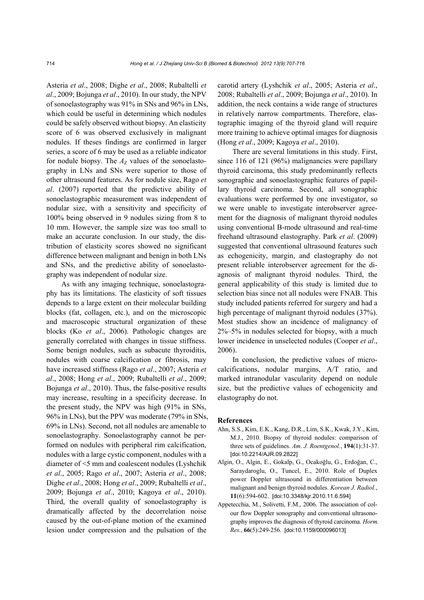Asteria *et al*., 2008; Dighe *et al*., 2008; Rubaltelli *et al*., 2009; Bojunga *et al*., 2010). In our study, the NPV of sonoelastography was 91% in SNs and 96% in LNs, which could be useful in determining which nodules could be safely observed without biopsy. An elasticity score of 6 was observed exclusively in malignant nodules. If theses findings are confirmed in larger series, a score of 6 may be used as a reliable indicator for nodule biopsy. The  $A_Z$  values of the sonoelastography in LNs and SNs were superior to those of other ultrasound features. As for nodule size, Rago *et al*. (2007) reported that the predictive ability of sonoelastographic measurement was independent of nodular size, with a sensitivity and specificity of 100% being observed in 9 nodules sizing from 8 to 10 mm. However, the sample size was too small to make an accurate conclusion. In our study, the distribution of elasticity scores showed no significant difference between malignant and benign in both LNs and SNs, and the predictive ability of sonoelastography was independent of nodular size.

As with any imaging technique, sonoelastography has its limitations. The elasticity of soft tissues depends to a large extent on their molecular building blocks (fat, collagen, etc.), and on the microscopic and macroscopic structural organization of these blocks (Ko *et al*., 2006). Pathologic changes are generally correlated with changes in tissue stiffness. Some benign nodules, such as subacute thyroiditis, nodules with coarse calcification or fibrosis, may have increased stiffness (Rago *et al*., 2007; Asteria *et al*., 2008; Hong *et al*., 2009; Rubaltelli *et al*., 2009; Bojunga *et al*., 2010). Thus, the false-positive results may increase, resulting in a specificity decrease. In the present study, the NPV was high (91% in SNs, 96% in LNs), but the PPV was moderate (79% in SNs, 69% in LNs). Second, not all nodules are amenable to sonoelastography. Sonoelastography cannot be performed on nodules with peripheral rim calcification, nodules with a large cystic component, nodules with a diameter of <5 mm and coalescent nodules (Lyshchik *et al*., 2005; Rago *et al*., 2007; Asteria *et al*., 2008; Dighe *et al*., 2008; Hong *et al*., 2009; Rubaltelli *et al*., 2009; Bojunga *et al*., 2010; Kagoya *et al*., 2010). Third, the overall quality of sonoelastography is dramatically affected by the decorrelation noise caused by the out-of-plane motion of the examined lesion under compression and the pulsation of the

carotid artery (Lyshchik *et al*., 2005; Asteria *et al*., 2008; Rubaltelli *et al*., 2009; Bojunga *et al*., 2010). In addition, the neck contains a wide range of structures in relatively narrow compartments. Therefore, elastographic imaging of the thyroid gland will require more training to achieve optimal images for diagnosis (Hong *et al*., 2009; Kagoya *et al*., 2010).

There are several limitations in this study. First, since 116 of 121 (96%) malignancies were papillary thyroid carcinoma, this study predominantly reflects sonographic and sonoelastographic features of papillary thyroid carcinoma. Second, all sonographic evaluations were performed by one investigator, so we were unable to investigate interobserver agreement for the diagnosis of malignant thyroid nodules using conventional B-mode ultrasound and real-time freehand ultrasound elastography. Park *et al*. (2009) suggested that conventional ultrasound features such as echogenicity, margin, and elastography do not present reliable interobserver agreement for the diagnosis of malignant thyroid nodules. Third, the general applicability of this study is limited due to selection bias since not all nodules were FNAB. This study included patients referred for surgery and had a high percentage of malignant thyroid nodules (37%). Most studies show an incidence of malignancy of 2%–5% in nodules selected for biopsy, with a much lower incidence in unselected nodules (Cooper *et al*., 2006).

In conclusion, the predictive values of microcalcifications, nodular margins, A/T ratio, and marked intranodular vascularity depend on nodule size, but the predictive values of echogenicity and elastography do not.

#### **References**

- Ahn, S.S., Kim, E.K., Kang, D.R., Lim, S.K., Kwak, J.Y., Kim, M.J., 2010. Biopsy of thyroid nodules: comparison of three sets of guidelines. *Am. J. Roentgenol.*, **194**(1):31-37. [doi:10.2214/AJR.09.2822]
- Algin, O., Algin, E., Gokalp, G., Ocakoğlu, G., Erdoğan, C., Saraydaroglu, O., Tuncel, E., 2010. Role of Duplex power Doppler ultrasound in differentiation between malignant and benign thyroid nodules. *Korean J. Radiol.*, **11**(6):594-602. [doi:10.3348/kjr.2010.11.6.594]
- Appetecchia, M., Solivetti, F.M., 2006. The association of colour flow Doppler sonography and conventional ultrasonography improves the diagnosis of thyroid carcinoma. *Horm. Res.*, **66**(5):249-256. [doi:10.1159/000096013]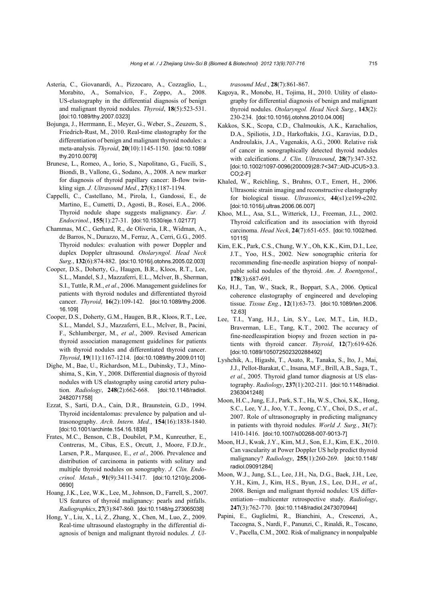- Asteria, C., Giovanardi, A., Pizzocaro, A., Cozzaglio, L., Morabito, A., Somalvico, F., Zoppo, A., 2008. US-elastography in the differential diagnosis of benign and malignant thyroid nodules. *Thyroid*, **18**(5):523-531. [doi:10.1089/thy.2007.0323]
- Bojunga, J., Herrmann, E., Meyer, G., Weber, S., Zeuzem, S., Friedrich-Rust, M., 2010. Real-time elastography for the differentiation of benign and malignant thyroid nodules: a meta-analysis. *Thyroid*, **20**(10):1145-1150. [doi:10.1089/ thy.2010.0079]
- Brunese, L., Romeo, A., Iorio, S., Napolitano, G., Fucili, S., Biondi, B., Vallone, G., Sodano, A., 2008. A new marker for diagnosis of thyroid papillary cancer: B-flow twinkling sign. *J. Ultrasound Med.*, **27**(8):1187-1194.
- Cappelli, C., Castellano, M., Pirola, I., Gandossi, E., de Martino, E., Cumetti, D., Agosti, B., Rosei, E.A., 2006. Thyroid nodule shape suggests malignancy. *Eur. J. Endocrinol.*, **155**(1):27-31. [doi:10.1530/eje.1.02177]
- Chammas, M.C., Gerhard, R., de Oliveria, I.R., Widman, A., de Barros, N., Durazzo, M., Ferraz, A., Cerri, G.G., 2005. Thyroid nodules: evaluation with power Doppler and duplex Doppler ultrasound. *Otolaryngol. Head Neck Surg.*, **132**(6):874-882.[doi:10.1016/j.otohns.2005.02.003]
- Cooper, D.S., Doherty, G., Haugen, B.R., Kloos, R.T., Lee, S.L., Mandel, S.J., Mazzaferri, E.L., Mclver, B., Sherman, S.I., Tuttle, R.M., *et al*., 2006. Management guidelines for patients with thyroid nodules and differentiated thyroid cancer. *Thyroid*, **16**(2):109-142. [doi:10.1089/thy.2006. 16.109]
- Cooper, D.S., Doherty, G.M., Haugen, B.R., Kloos, R.T., Lee, S.L., Mandel, S.J., Mazzaferri, E.L., McIver, B., Pacini, F., Schlumberger, M., *et al*., 2009. Revised American thyroid association management guidelines for patients with thyroid nodules and differentiated thyroid cancer. *Thyroid*, **19**(11):1167-1214. [doi:10.1089/thy.2009.0110]
- Dighe, M., Bae, U., Richardson, M.L., Dubinsky, T.J., Minoshima, S., Kin, Y., 2008. Differential diagnosis of thyroid nodules with US elastography using carotid artery pulsation. *Radiology*, **248**(2):662-668. [doi:10.1148/radiol. 2482071758]
- Ezzat, S., Sarti, D.A., Cain, D.R., Braunstein, G.D., 1994. Thyroid incidentalomas: prevalence by palpation and ultrasonography. *Arch. Intern. Med.*, **154**(16):1838-1840. [doi:10.1001/archinte.154.16.1838]
- Frates, M.C., Benson, C.B., Doubilet, P.M., Kunreuther, E., Contreras, M., Cibas, E.S., Orcutt, J., Moore, F.D.Jr., Larsen, P.R., Marqusee, E., *et al*., 2006. Prevalence and distribution of carcinoma in patients with solitary and multiple thyroid nodules on sonography. *J. Clin. Endocrinol. Metab.*, **91**(9):3411-3417. [doi:10.1210/jc.2006- 0690]
- Hoang, J.K., Lee, W.K., Lee, M., Johnson, D., Farrell, S., 2007. US features of thyroid malignancy: pearls and pitfalls. *Radiographics*, **27**(3):847-860. [doi:10.1148/rg.273065038]
- Hong, Y., Liu, X., Li, Z., Zhang, X., Chen, M., Luo, Z., 2009. Real-time ultrasound elastography in the differential diagnosis of benign and malignant thyroid nodules. *J. Ul-*

*trasound Med.*, **28**(7):861-867.

- Kagoya, R., Monobe, H., Tojima, H., 2010. Utility of elastography for differential diagnosis of benign and malignant thyroid nodules. *Otolaryngol. Head Neck Surg.*, **143**(2): 230-234. [doi:10.1016/j.otohns.2010.04.006]
- Kakkos, S.K., Scopa, C.D., Chalmoukis, A.K., Karachalios, D.A., Spiliotis, J.D., Harkoftakis, J.G., Karavias, D.D., Androulakis, J.A., Vagenakis, A.G., 2000. Relative risk of cancer in sonographically detected thyroid nodules with calcifications. *J. Clin. Ultrasound*, **28**(7):347-352. [doi:10.1002/1097-0096(200009)28:7<347::AID-JCU5>3.3. CO;2-F]
- Khaled, W., Reichling, S., Bruhns, O.T., Emert, H., 2006. Ultrasonic strain imaging and reconstructive elastography for biological tissue. *Ultrasonics*, **44**(s1):e199-e202. [doi:10.1016/j.ultras.2006.06.007]
- Khoo, M.L., Asa, S.L., Witterick, I.J., Freeman, J.L., 2002. Thyroid calcification and its association with thyroid carcinoma. *Head Neck*, **24**(7):651-655. [doi:10.1002/hed. 10115]
- Kim, E.K., Park, C.S., Chung, W.Y., Oh, K.K., Kim, D.I., Lee, J.T., Yoo, H.S., 2002. New sonographic criteria for recommending fine-needle aspiration biopsy of nonpalpable solid nodules of the thyroid. *Am. J. Roentgenol.*, **178**(3):687-691.
- Ko, H.J., Tan, W., Stack, R., Boppart, S.A., 2006. Optical coherence elastography of engineered and developing tissue. *Tissue Eng.*, **12**(1):63-73. [doi:10.1089/ten.2006. 12.63]
- Lee, T.I., Yang, H.J., Lin, S.Y., Lee, M.T., Lin, H.D., Braverman, L.E., Tang, K.T., 2002. The accuracy of fine-needleaspiration biopsy and frozen section in patients with thyroid cancer. *Thyroid*, **12**(7):619-626. [doi:10.1089/105072502320288492]
- Lyshchik, A., Higashi, T., Asato, R., Tanaka, S., Ito, J., Mai, J.J., Pellot-Barakat, C., Insana, M.F., Brill, A.B., Saga, T., *et al*., 2005. Thyroid gland tumor diagnosis at US elastography. *Radiology*, **237**(1):202-211. [doi:10.1148/radiol. 2363041248]
- Moon, H.C., Jung, E.J., Park, S.T., Ha, W.S., Choi, S.K., Hong, S.C., Lee, Y.J., Joo, Y.T., Jeong, C.Y., Choi, D.S., *et al*., 2007. Role of ultrasonography in predicting malignancy in patients with thyroid nodules. *World J. Surg.*, **31**(7): 1410-1416. [doi:10.1007/s00268-007-9013-7]
- Moon, H.J., Kwak, J.Y., Kim, M.J., Son, E.J., Kim, E.K., 2010. Can vascularity at Power Doppler US help predict thyroid malignancy? *Radiology*, **255**(1):260-269. [doi:10.1148/ radiol.09091284]
- Moon, W.J., Jung, S.L., Lee, J.H., Na, D.G., Baek, J.H., Lee, Y.H., Kim, J., Kim, H.S., Byun, J.S., Lee, D.H., *et al*., 2008. Benign and malignant thyroid nodules: US differentiation—multicenter retrospective study. *Radiology*, **247**(3):762-770. [doi:10.1148/radiol.2473070944]
- Papini, E., Guglielmi, R., Bianchini, A., Crescenzi, A., Taccogna, S., Nardi, F., Panunzi, C., Rinaldi, R., Toscano, V., Pacella, C.M., 2002. Risk of malignancy in nonpalpable